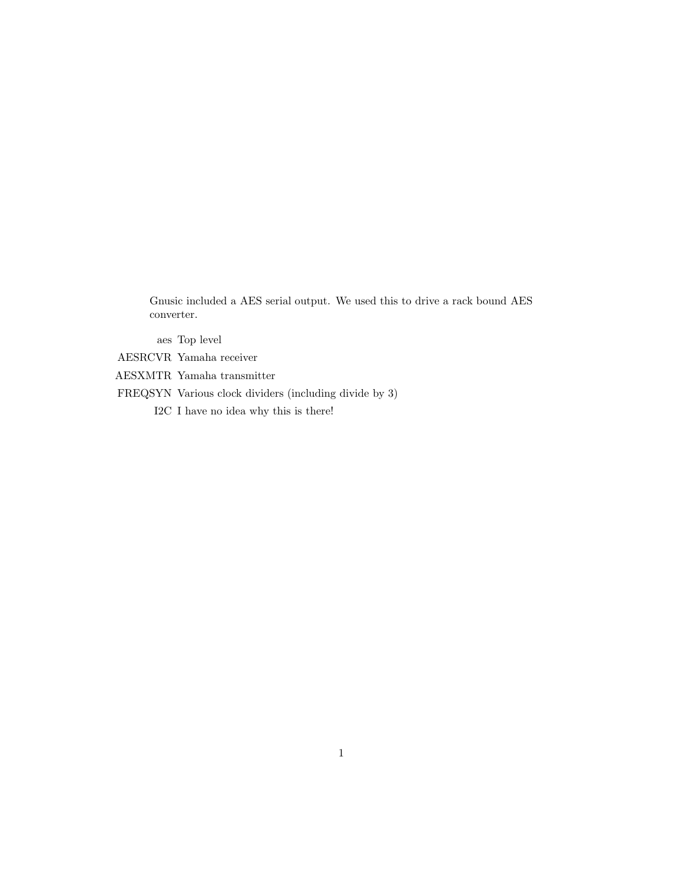Gnusic included a AES serial output. We used this to drive a rack bound AES converter.

aes Top level

AESRCVR Yamaha receiver

- AESXMTR Yamaha transmitter
- FREQSYN Various clock dividers (including divide by 3)
	- I2C I have no idea why this is there!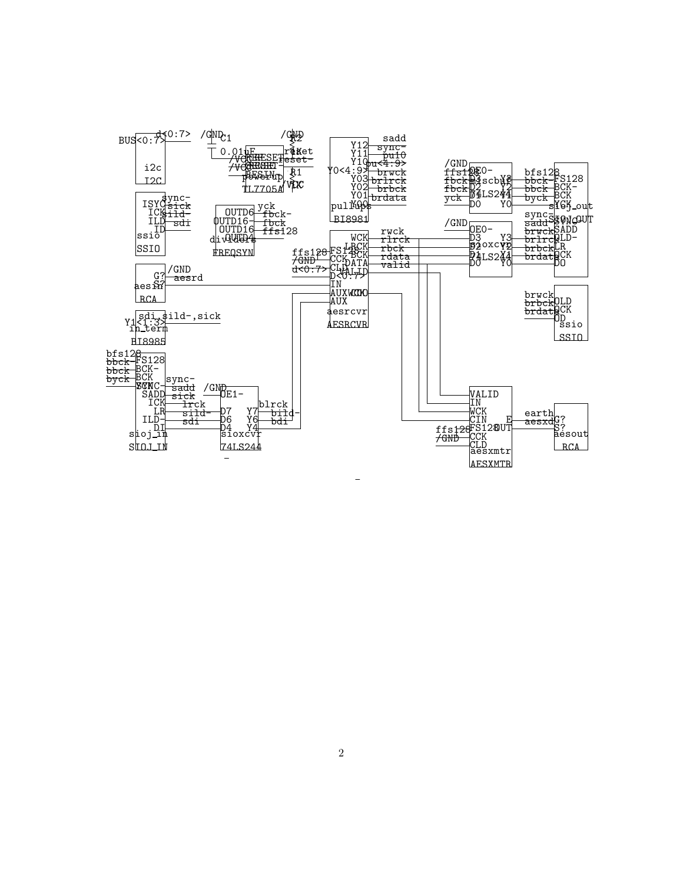

2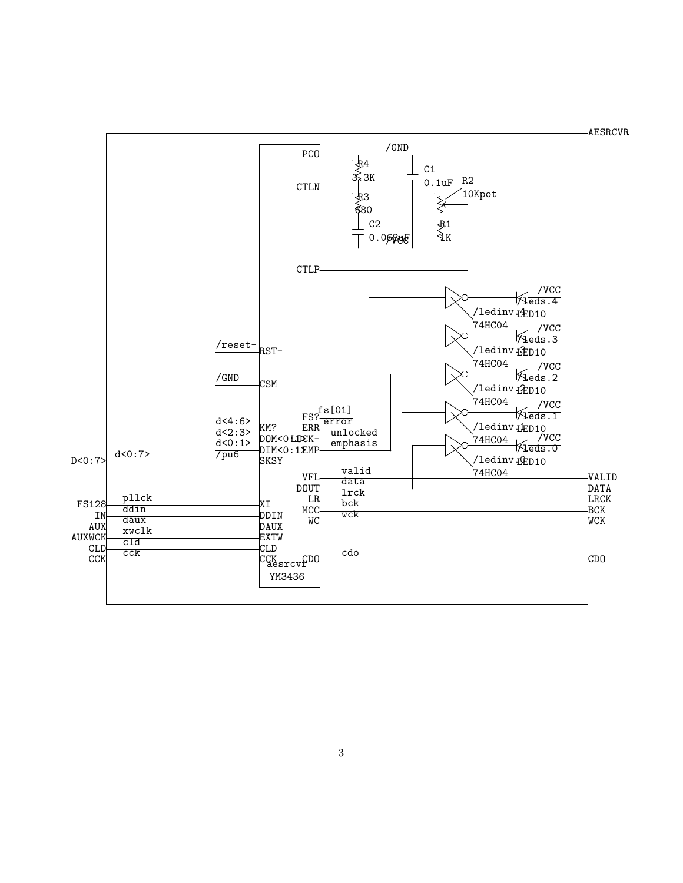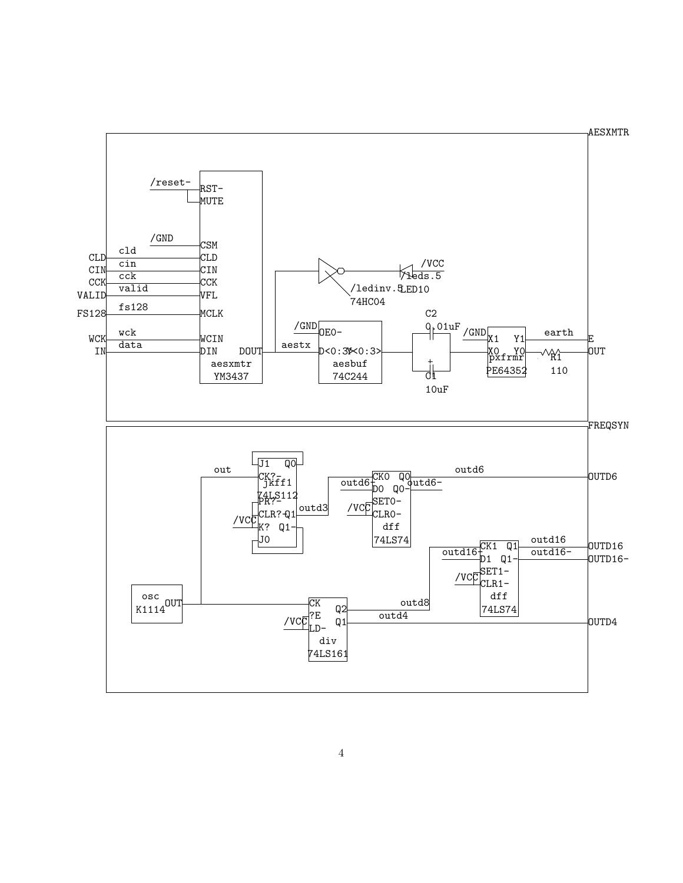